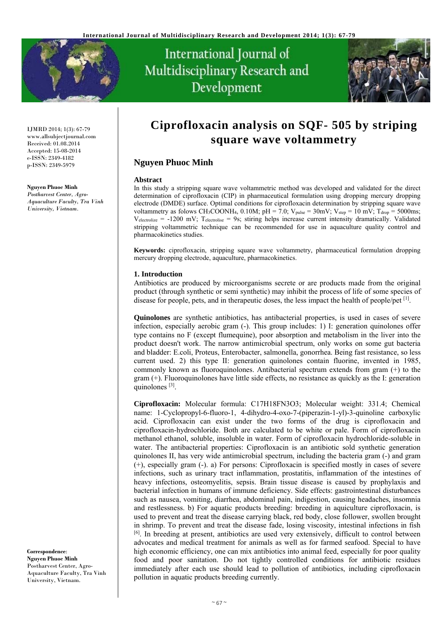

# International Journal of Multidisciplinary Research and Development



IJMRD 2014; 1(3): 67-79 www.allsubjectjournal.com Received: 01.08.2014 Accepted: 15-08-2014 e-ISSN: 2349-4182 p-ISSN: 2349-5979

#### **Nguyen Phuoc Minh**

*Postharvest Center, Agro-Aquaculture Faculty, Tra Vinh University, Vietnam.* 

# **Ciprofloxacin analysis on SQF- 505 by striping square wave voltammetry**

# **Nguyen Phuoc Minh**

#### **Abstract**

In this study a stripping square wave voltammetric method was developed and validated for the direct determination of ciprofloxacin (CIP) in pharmaceutical formulation using dropping mercury dropping electrode (DMDE) surface. Optimal conditions for ciprofloxacin determination by stripping square wave voltammetry as folows CH<sub>3</sub>COONH<sub>4</sub>, 0.10M; pH = 7.0; V<sub>pulse</sub> =  $30mV$ ; V<sub>step</sub> =  $10 mV$ ; T<sub>drop</sub> =  $5000ms$ ;  $V_{electrolice}$  = -1200 mV; Telectrolise = 9s; stiring helps increase current intensity dramatically. Validated stripping voltammetric technique can be recommended for use in aquaculture quality control and pharmacokinetics studies.

**Keywords:** ciprofloxacin, stripping square wave voltammetry, pharmaceutical formulation dropping mercury dropping electrode, aquaculture, pharmacokinetics.

#### **1. Introduction**

Antibiotics are produced by microorganisms secrete or are products made from the original product (through synthetic or semi synthetic) may inhibit the process of life of some species of disease for people, pets, and in therapeutic doses, the less impact the health of people/pet [1].

**Quinolones** are synthetic antibiotics, has antibacterial properties, is used in cases of severe infection, especially aerobic gram (-). This group includes: 1) I: generation quinolones offer type contains no F (except flumequine), poor absorption and metabolism in the liver into the product doesn't work. The narrow antimicrobial spectrum, only works on some gut bacteria and bladder: E.coli, Proteus, Enterobacter, salmonella, gonorrhea. Being fast resistance, so less current used. 2) this type II: generation quinolones contain fluorine, invented in 1985, commonly known as fluoroquinolones. Antibacterial spectrum extends from gram (+) to the gram (+). Fluoroquinolones have little side effects, no resistance as quickly as the I: generation quinolones [3].

**Ciprofloxacin:** Molecular formula: C17H18FN3O3; Molecular weight: 331.4; Chemical name: 1-Cyclopropyl-6-fluoro-1, 4-dihydro-4-oxo-7-(piperazin-1-yl)-3-quinoline carboxylic acid. Ciprofloxacin can exist under the two forms of the drug is ciprofloxacin and ciprofloxacin-hydrochloride. Both are calculated to be white or pale. Form of ciprofloxacin methanol ethanol, soluble, insoluble in water. Form of ciprofloxacin hydrochloride-soluble in water. The antibacterial properties: Ciprofloxacin is an antibiotic sold synthetic generation quinolones II, has very wide antimicrobial spectrum, including the bacteria gram (-) and gram (+), especially gram (-). a) For persons: Ciprofloxacin is specified mostly in cases of severe infections, such as urinary tract inflammation, prostatitis, inflammation of the intestines of heavy infections, osteomyelitis, sepsis. Brain tissue disease is caused by prophylaxis and bacterial infection in humans of immune deficiency. Side effects: gastrointestinal disturbances such as nausea, vomiting, diarrhea, abdominal pain, indigestion, causing headaches, insomnia and restlessness. b) For aquatic products breeding: breeding in aquiculture ciprofloxacin, is used to prevent and treat the disease carrying black, red body, close follower, swollen brought in shrimp. To prevent and treat the disease fade, losing viscosity, intestinal infections in fish [6]. In breeding at present, antibiotics are used very extensively, difficult to control between advocates and medical treatment for animals as well as for farmed seafood. Special to have high economic efficiency, one can mix antibiotics into animal feed, especially for poor quality food and poor sanitation. Do not tightly controlled conditions for antibiotic residues immediately after each use should lead to pollution of antibiotics, including ciprofloxacin pollution in aquatic products breeding currently.

**Correspondence**: **Nguyen Phuoc Minh**  Postharvest Center, Agro-Aquaculture Faculty, Tra Vinh University, Vietnam.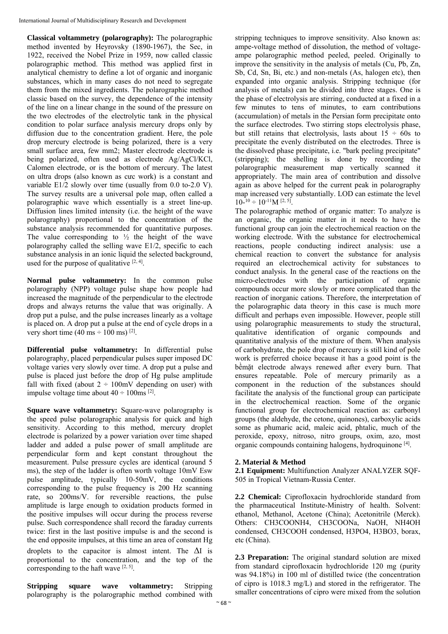**Classical voltammetry (polarography):** The polarographic method invented by Heyrovsky (1890-1967), the Sec, in 1922, received the Nobel Prize in 1959, now called classic polarographic method. This method was applied first in analytical chemistry to define a lot of organic and inorganic substances, which in many cases do not need to segregate them from the mixed ingredients. The polarographic method classic based on the survey, the dependence of the intensity of the line on a linear change in the sound of the pressure on the two electrodes of the electrolytic tank in the physical condition to polar surface analysis mercury drops only by diffusion due to the concentration gradient. Here, the pole drop mercury electrode is being polarized, there is a very small surface area, few mm2; Master electrode electrode is being polarized, often used as electrode Ag/AgCl/KCl, Calomen electrode, or is the bottom of mercury. The latest on ultra drops (also known as cưc work) is a constant and variable E1/2 slowly over time (usually from 0.0 to-2.0 V). The survey results are a universal pole map, often called a polarographic wave which essentially is a street line-up. Diffusion lines limited intensity (i.e. the height of the wave polarography) proportional to the concentration of the substance analysis recommended for quantitative purposes. The value corresponding to  $\frac{1}{2}$  the height of the wave polarography called the selling wave E1/2, specific to each substance analysis in an ionic liquid the selected background, used for the purpose of qualitative  $[2, 4]$ .

**Normal pulse voltammetry:** In the common pulse polarography (NPP) voltage pulse shape how people had increased the magnitude of the perpendicular to the electrode drops and always returns the value that was originally. A drop put a pulse, and the pulse increases linearly as a voltage is placed on. A drop put a pulse at the end of cycle drops in a very short time  $(40 \text{ ms} \div 100 \text{ ms})$ <sup>[2]</sup>.

**Differential pulse voltammetry:** In differential pulse polarography, placed perpendicular pulses super imposed DC voltage varies very slowly over time. A drop put a pulse and pulse is placed just before the drop of Hg pulse amplitude fall with fixed (about  $2 \div 100$  mV depending on user) with impulse voltage time about  $40 \div 100$ ms <sup>[2]</sup>.

**Square wave voltammetry:** Square-wave polarography is the speed pulse polarographic analysis for quick and high sensitivity. According to this method, mercury droplet electrode is polarized by a power variation over time shaped ladder and added a pulse power of small amplitude are perpendicular form and kept constant throughout the measurement. Pulse pressure cycles are identical (around 5 ms), the step of the ladder is often worth voltage 10mV Esw pulse amplitude, typically 10-50mV, the conditions corresponding to the pulse frequency is 200 Hz scanning rate, so 200ms/V. for reversible reactions, the pulse amplitude is large enough to oxidation products formed in the positive impulses will occur during the process reverse pulse. Such correspondence shall record the faraday currents twice: first in the last positive impulse is and the second is the end opposite impulses, at this time an area of constant Hg droplets to the capacitor is almost intent. The  $\Delta I$  is proportional to the concentration, and the top of the corresponding to the haft wave  $[2, 5]$ .

**Stripping square wave voltammetry:** Stripping polarography is the polarographic method combined with

stripping techniques to improve sensitivity. Also known as: ampe-voltage method of dissolution, the method of voltageampe polarographic method peeled, peeled. Originally to improve the sensitivity in the analysis of metals (Cu, Pb, Zn, Sb, Cd, Sn, Bi, etc.) and non-metals (As, halogen etc), then expanded into organic analysis. Stripping technique (for analysis of metals) can be divided into three stages. One is the phase of electrolysis are stirring, conducted at a fixed in a few minutes to tens of minutes, to earn contributions (accumulation) of metals in the Persian form precipitate onto the surface electrodes. Two stirring stops electrolysis phase, but still retains that electrolysis, lasts about  $15 \div 60s$  to precipitate the evenly distributed on the electrodes. Three is the dissolved phase precipitate, i.e. "bark peeling precipitate" (stripping); the shelling is done by recording the polarographic measurement map vertically scanned it appropriately. The main area of contribution and dissolve again as above helped for the current peak in polarography map increased very substantially. LOD can estimate the level  $10^{-10} \div 10^{-11} M$  [2, 5].

The polarographic method of organic matter: To analyze is an organic, the organic matter in it needs to have the functional group can join the electrochemical reaction on the working electrode. With the substance for electrochemical reactions, people conducting indirect analysis: use a chemical reaction to convert the substance for analysis required an electrochemical activity for substances to conduct analysis. In the general case of the reactions on the micro-electrodes with the participation of organic compounds occur more slowly or more complicated than the reaction of inorganic cations. Therefore, the interpretation of the polarographic data theory in this case is much more difficult and perhaps even impossible. However, people still using polarographic measurements to study the structural, qualitative identification of organic compounds and quantitative analysis of the mixture of them. When analysis of carbohydrate, the pole drop of mercury is still kind of pole work is preferred choice because it has a good point is the bềmặt electrode always renewed after every burn. That ensures repeatable. Pole of mercury primarily as a component in the reduction of the substances should facilitate the analysis of the functional group can participate in the electrochemical reaction. Some of the organic functional group for electrochemical reaction as: carbonyl groups (the aldehyde, the cetone, quinones), carboxylic acids some as phumaric acid, maleic acid, phtalic, much of the peroxide, epoxy, nitroso, nitro groups, oxim, azo, most organic compounds containing halogens, hydroquinone [4].

# **2. Material & Method**

**2.1 Equipment:** Multifunction Analyzer ANALYZER SQF-505 in Tropical Vietnam-Russia Center.

**2.2 Chemical:** Ciprofloxacin hydrochloride standard from the pharmaceutical Institute-Ministry of health. Solvent: ethanol, Methanol, Acetone (China); Acetonitrile (Merck). Others: CH3COONH4, CH3COONa, NaOH, NH4OH condensed, CH3COOH condensed, H3PO4, H3BO3, borax, etc (China).

**2.3 Preparation:** The original standard solution are mixed from standard ciprofloxacin hydrochloride 120 mg (purity was 94.18%) in 100 ml of distilled twice (the concentration of cipro is 1018.3 mg/L) and stored in the refrigerator. The smaller concentrations of cipro were mixed from the solution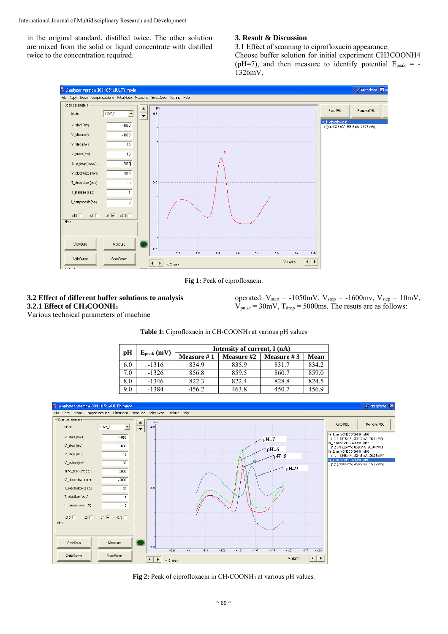in the original standard, distilled twice. The other solution are mixed from the solid or liquid concentrate with distilled twice to the concentration required.

# **3. Result & Discussion**

3.1 Effect of scanning to ciprofloxacin appearance: Choose buffer solution for initial experiment CH3COONH4 (pH=7), and then measure to identify potential  $E_{\text{peak}} = -$ 1326mV.



Fig 1: Peak of ciprofloxacin.

# **3.2 Effect of different buffer solutions to analysis 3.2.1 Effect of CH3COONH4**

operated:  $V_{\text{start}} = -1050 \text{mV}$ ,  $V_{\text{stop}} = -1600 \text{mV}$ ,  $V_{\text{step}} = 10 \text{mV}$ ,  $V_{pulse} = 30 \text{mV}$ ,  $T_{drop} = 5000 \text{ms}$ . The resuts are as follows:

Various technical parameters of machine

|     |                     | Intensity of current, I (nA) |                   |              |       |  |  |  |
|-----|---------------------|------------------------------|-------------------|--------------|-------|--|--|--|
| pH  | $E_{\rm peak}$ (mV) | Measure #1                   | <b>Measure</b> #2 | Measure $#3$ | Mean  |  |  |  |
| 6.0 | $-1316$             | 834.9                        | 835.9             | 831.7        | 834.2 |  |  |  |
| 7.0 | $-1326$             | 856.8                        | 859.5             | 860.7        | 859.0 |  |  |  |
| 8.0 | $-1346$             | 822.3                        | 822.4             | 828.8        | 824.5 |  |  |  |
| 9.0 | $-1384$             | 456.2                        | 463.8             | 450.7        | 456.9 |  |  |  |



**Fig 2:** Peak of ciprofloxacin in CH3COONH4 at various pH values.

# **Table 1:** Ciprofloxacin in CH3COONH4 at various pH values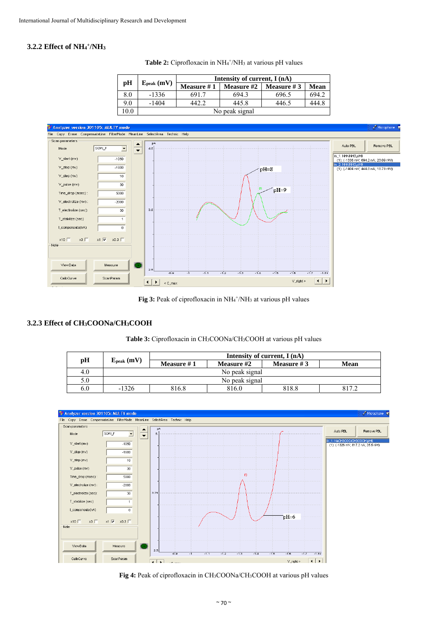# **3.2.2 Effect of NH4 +/NH3**

|      |                     |                | Intensity of current, I (nA) |               |       |  |  |  |
|------|---------------------|----------------|------------------------------|---------------|-------|--|--|--|
| pH   | $E_{\rm peak}$ (mV) | Measure #1     | Measure #2                   | Measure # $3$ | Mean  |  |  |  |
| 8.0  | $-1336$             | 691.7          | 694.3                        | 696.5         | 694.2 |  |  |  |
| 9.0  | $-1404$             | 442.2          | 445.8                        | 446.5         | 444.8 |  |  |  |
| 10.0 |                     | No peak signal |                              |               |       |  |  |  |





Fig 3: Peak of ciprofloxacin in NH<sub>4</sub><sup>+</sup>/NH<sub>3</sub> at various pH values

# **3.2.3 Effect of CH3COONa/CH3COOH**

# **Table 3:** Ciprofloxacin in CH3COONa/CH3COOH at various pH values

| pH  |                     |                                 |                   | Intensity of current, I (nA) |      |  |  |  |
|-----|---------------------|---------------------------------|-------------------|------------------------------|------|--|--|--|
|     | $E_{\rm peak}$ (mV) | Measure $#1$                    | <b>Measure</b> #2 | Measure # $3$                | Mean |  |  |  |
| 4.0 |                     |                                 | No peak signal    |                              |      |  |  |  |
| 5.0 |                     |                                 | No peak signal    |                              |      |  |  |  |
| 6.0 | -1326               | 816.8<br>816.0<br>818.8<br>8172 |                   |                              |      |  |  |  |



**Fig 4:** Peak of ciprofloxacin in CH3COONa/CH3COOH at various pH values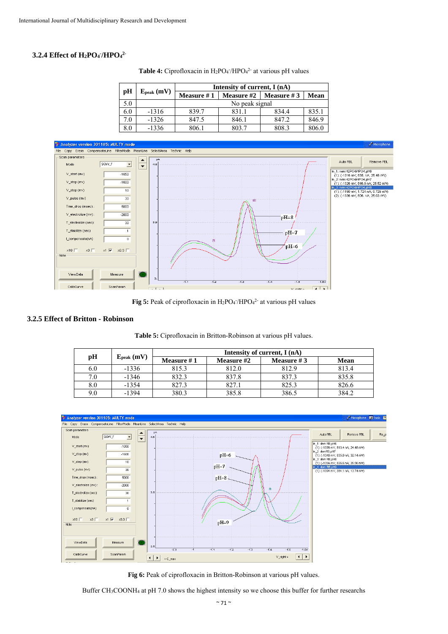# **3.2.4 Effect of H2PO4 - /HPO4 2-**

|     | $E_{\rm peak}$ (mV) | Intensity of current, I (nA) |                   |                   |       |  |  |
|-----|---------------------|------------------------------|-------------------|-------------------|-------|--|--|
| рH  |                     | Measure #1                   | <b>Measure #2</b> | <b>Measure</b> #3 | Mean  |  |  |
| 5.0 |                     |                              | No peak signal    |                   |       |  |  |
| 6.0 | $-1316$             | 839.7                        | 831.1             | 834.4             | 835.1 |  |  |
| 7.0 | $-1326$             | 847.5                        | 846.1             | 847.2             | 846.9 |  |  |
| 8.0 | $-1336$             | 806.1                        | 803.7             | 808.3             | 806.0 |  |  |

**Table 4:** Ciprofloxacin in  $H_2PO_4$  /HPO<sub>4</sub><sup>2</sup> at various pH values



Fig 5: Peak of ciprofloxacin in  $H_2PO_4/HPO_4^2$  at various pH values

#### **3.2.5 Effect of Britton - Robinson**

|  | Table 5: Ciprofloxacin in Britton-Robinson at various pH values. |  |  |  |  |  |  |
|--|------------------------------------------------------------------|--|--|--|--|--|--|
|--|------------------------------------------------------------------|--|--|--|--|--|--|

|         |                     |              | Intensity of current, I (nA) |               |       |  |  |
|---------|---------------------|--------------|------------------------------|---------------|-------|--|--|
| pH      | $E_{\rm peak}$ (mV) | Measure $#1$ | <b>Measure</b> #2            | Measure # $3$ | Mean  |  |  |
| 6.V     | $-1336$             | 815.3        | 812.0                        | 812.9         | 813.4 |  |  |
| 7.0     | $-1346$             | 832.3        | 837.8                        | 837.3         | 835.8 |  |  |
| $8.0\,$ | $-1354$             | 827.3        | 827.1                        | 825.3         | 826.6 |  |  |
| 9.0     | $-1394$             | 380.3        | 385.8                        | 386.5         | 384.2 |  |  |



Fig 6: Peak of ciprofloxacin in Britton-Robinson at various pH values.

Buffer CH3COONH4 at pH 7.0 shows the highest intensity so we choose this buffer for further researchs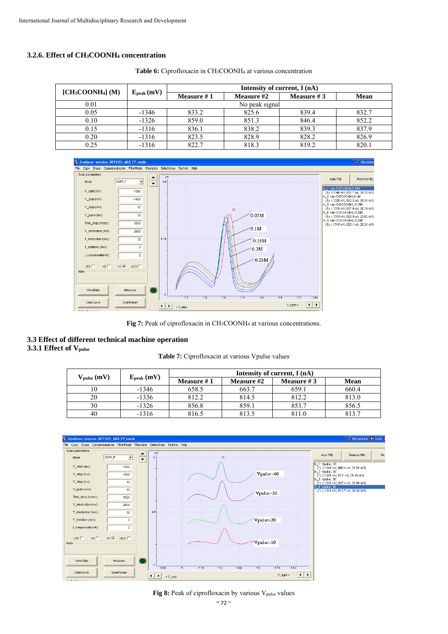# **3.2.6. Effect of CH3COONH4 concentration**

|                     |                     |            | Intensity of current, I (nA) |              |       |
|---------------------|---------------------|------------|------------------------------|--------------|-------|
| $[CH_3COONH_4] (M)$ | $E_{\rm peak}$ (mV) | Measure #1 | Measure #2                   | Measure $#3$ | Mean  |
| 0.01                |                     |            | No peak signal               |              |       |
| 0.05                | $-1346$             | 833.2      | 825.6                        | 839.4        | 832.7 |
| 0.10                | $-1326$             | 859.0      | 851.3                        | 846.4        | 852.2 |
| 0.15                | $-1316$             | 836.1      | 838.2                        | 839.3        | 837.9 |
| 0.20                | $-1316$             | 823.5      | 828.9                        | 828.2        | 826.9 |
| 0.25                | $-1316$             | 822.7      | 818.3                        | 819.2        | 820.1 |

Table 6: Ciprofloxacin in CH<sub>3</sub>COONH<sub>4</sub> at various concentration



**Fig 7:** Peak of ciprofloxacin in CH3COONH4 at various concentrations.

### **3.3 Effect of different technical machine operation 3.3.1 Effect of Vpulse**

#### **Table 7:** Ciprofloxacin at various Vpulse values

|                                          |                     | Intensity of current, I (nA) |                   |               |       |  |
|------------------------------------------|---------------------|------------------------------|-------------------|---------------|-------|--|
| $V_{\text{pulse}}\left(\text{mV}\right)$ | $E_{\rm peak}$ (mV) | Measure #1                   | <b>Measure #2</b> | Measure # $3$ | Mean  |  |
|                                          | $-1346$             | 658.5                        | 663.7             | 659.1         | 660.4 |  |
| 20                                       | $-1336$             | 812.2                        | 814.5             | 812.2         | 813.0 |  |
| 30                                       | $-1326$             | 856.8                        | 859.1             | 853.7         | 856.5 |  |
| 40                                       | $-1316$             | 816.5                        | 813.5             | 811.0         | 813.7 |  |



# Fig 8: Peak of ciprofloxacin by various V<sub>pulse</sub> values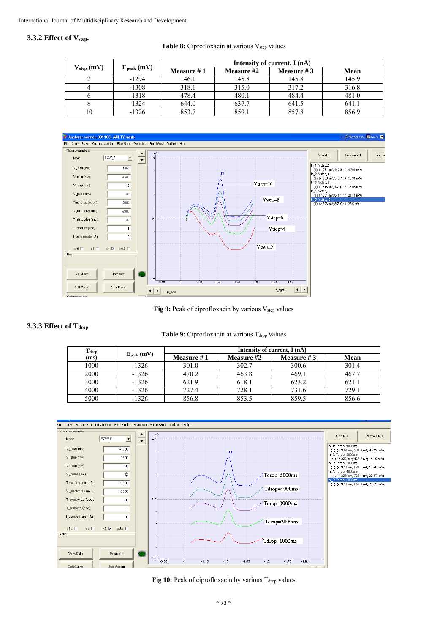### **3.3.2 Effect of Vstep.**

#### **Table 8:** Ciprofloxacin at various V<sub>step</sub> values

|                        |                     | Intensity of current, I (nA) |            |              |       |  |
|------------------------|---------------------|------------------------------|------------|--------------|-------|--|
| V <sub>step</sub> (mV) | $E_{\rm peak}$ (mV) | <b>Measure #1</b>            | Measure #2 | Measure $#3$ | Mean  |  |
|                        | $-1294$             | 146.1                        | 145.8      | 145.8        | 145.9 |  |
|                        | $-1308$             | 318.1                        | 315.0      | 317.2        | 316.8 |  |
|                        | $-1318$             | 478.4                        | 480.1      | 484.4        | 481.0 |  |
|                        | $-1324$             | 644.0                        | 637.7      | 641.5        | 641.1 |  |
| 10                     | $-1326$             | 853.7                        | 859.1      | 857.8        | 856.9 |  |



Fig 9: Peak of ciprofloxacin by various V<sub>step</sub> values

# 3.3.3 Effect of T<sub>drop</sub>

#### **Table 9:** Ciprofloxacin at various T<sub>drop</sub> values

| $\mathbf{T_{drop}}$ |                 | Intensity of current, I (nA) |                   |               |       |  |  |
|---------------------|-----------------|------------------------------|-------------------|---------------|-------|--|--|
| (ms)                | $E_{peak}$ (mV) | Measure #1                   | <b>Measure</b> #2 | Measure # $3$ | Mean  |  |  |
| 1000                | $-1326$         | 301.0                        | 302.7             | 300.6         | 301.4 |  |  |
| 2000                | $-1326$         | 470.2                        | 463.8             | 469.1         | 467.7 |  |  |
| 3000                | $-1326$         | 621.9                        | 618.1             | 623.2         | 621.1 |  |  |
| 4000                | $-1326$         | 727.4                        | 728.1             | 731.6         | 729.1 |  |  |
| 5000                | $-1326$         | 856.8                        | 853.5             | 859.5         | 856.6 |  |  |



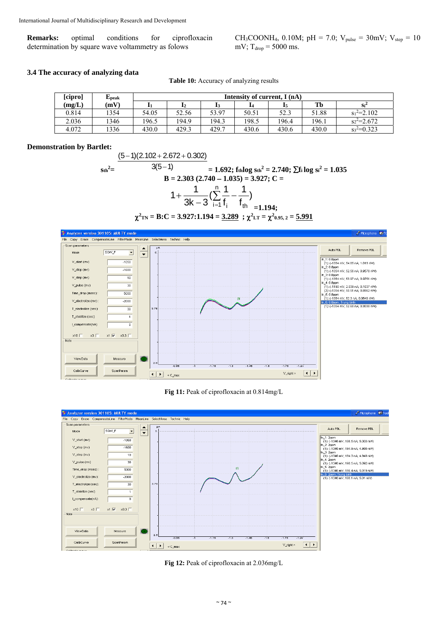**Remarks:** optimal conditions for ciprofloxacin determination by square wave voltammetry as folows

CH<sub>3</sub>COONH<sub>4</sub>, 0.10M; pH = 7.0; V<sub>pulse</sub> = 30mV; V<sub>step</sub> = 10 mV;  $T_{\text{drop}} = 5000$  ms.

### **3.4 The accuracy of analyzing data**

**Table 10:** Accuracy of analyzing results

| [cipro] | ${\bf E}_{\rm peak}$ |       | Intensity of current, I (nA) |       |       |       |       |               |
|---------|----------------------|-------|------------------------------|-------|-------|-------|-------|---------------|
| (mg/L)  | (mV)                 |       | 12                           |       |       |       | Tb    | $Si^2$        |
| 0.814   | 1354                 | 54.05 | 52.56                        | 53.97 | 50.51 | 52.3  | 51.88 | $s_1^2=2.102$ |
| 2.036   | 1346                 | 196.5 | 194.9                        | 194.3 | 198.5 | 196.4 | 196.1 | $s^2$ = 2.672 |
| 4.072   | 1336                 | 430.0 | 429.3                        | 429.7 | 430.6 | 430.6 | 430.0 | $s_3^2=0.323$ |

#### **Demonstration by Bartlet:**

 $\mathrm{Sth}^2 =$  $(5-1)(2.102 + 2.672 + 0.302)$  $3(5 - 1)$  $= 1.692$ ; f<sub>th</sub>log s<sub>th</sub><sup>2</sup> = 2.740;  $\sum$ f<sub>i</sub> log s<sub>i</sub><sup>2</sup> = 1.035  $B = 2.303 (2.740 - 1.035) = 3.927$ ; C = n  $1 + \frac{1}{3k-3} (\sum_{i=1}^{n} \frac{1}{f_i} - \frac{1}{f_{th}})$ <sub>=1.194;</sub>  $\chi^2_{\text{TN}} = \text{B:}\text{C} = 3.927\text{:}1.194 = \underline{3.289}$ ;  $\chi^2_{\text{LT}} = \chi^2_{0.95, 2} = \underline{5.991}$ 



**Fig 11:** Peak of ciprofloxacin at 0.814mg/L



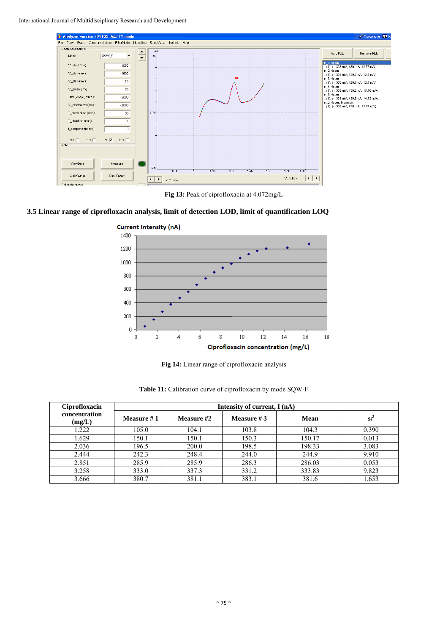International Journal of Multidisciplinary Research and Development



**Fig 13:** Peak of ciprofloxacin at 4.072mg/L

# **3.5 Linear range of ciprofloxacin analysis, limit of detection LOD, limit of quantification LOQ**



**Fig 14:** Linear range of ciprofloxacin analysis

| Ciprofloxacin           | Intensity of current, I (nA) |            |              |        |        |  |  |  |  |
|-------------------------|------------------------------|------------|--------------|--------|--------|--|--|--|--|
| concentration<br>(mg/L) | Measure #1                   | Measure #2 | Measure $#3$ | Mean   | $Si^2$ |  |  |  |  |
| 1.222                   | 105.0                        | 104.1      | 103.8        | 104.3  | 0.390  |  |  |  |  |
| 1.629                   | 150.1                        | 150.1      | 150.3        | 150.17 | 0.013  |  |  |  |  |
| 2.036                   | 196.5                        | 200.0      | 198.5        | 198.33 | 3.083  |  |  |  |  |
| 2.444                   | 242.3                        | 248.4      | 244.0        | 244.9  | 9.910  |  |  |  |  |
| 2.851                   | 285.9                        | 285.9      | 286.3        | 286.03 | 0.053  |  |  |  |  |
| 3.258                   | 333.0                        | 337.3      | 331.2        | 333.83 | 9.823  |  |  |  |  |
| 3.666                   | 380.7                        | 381.1      | 383.1        | 381.6  | 1.653  |  |  |  |  |

Table 11: Calibration curve of ciprofloxacin by mode SQW-F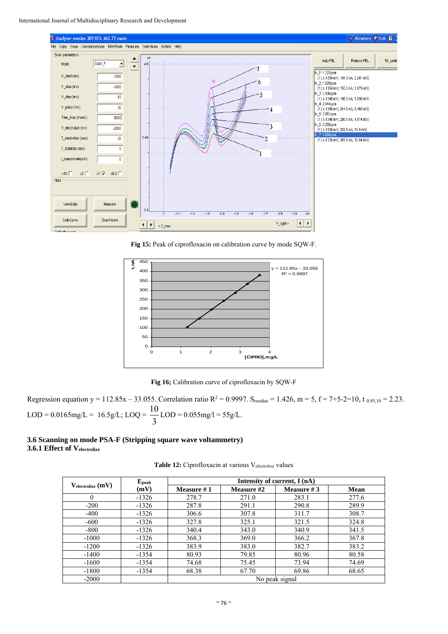

**Fig 15:** Peak of ciprofloxacin on calibration curve by mode SQW-F.



**Fig 16;** Calibration curve of ciprofloxacin by SQW-F

Regression equation  $y = 112.85x - 33.055$ . Correlation ratio  $R^2 = 0.9997$ . S<sub>residue</sub> = 1.426, m = 5, f = 7+5-2=10, t  $_{0.95,10} = 2.23$ . LOD =  $0.0165$ mg/L =  $16.5$ g/L; LOQ =  $\frac{13}{3}$  $\frac{10}{2}$  LOD = 0.055mg/l = 55g/L.

# **3.6 Scanning on mode PSA-F (Stripping square wave voltammetry) 3.6.1 Effect of Velectrolize**

Table 12: Ciprofloxacin at various Velectrolize values

|                       | $E_{\rm peak}$ | Intensity of current, I (nA) |            |               |             |  |
|-----------------------|----------------|------------------------------|------------|---------------|-------------|--|
| $V_{electrolic}$ (mV) | (mV)           | Measure #1                   | Measure #2 | Measure # $3$ | <b>Mean</b> |  |
| $\theta$              | $-1326$        | 278.7                        | 271.0      | 283.1         | 277.6       |  |
| $-200$                | $-1326$        | 287.8                        | 291.1      | 290.8         | 289.9       |  |
| $-400$                | $-1326$        | 306.6                        | 307.8      | 311.7         | 308.7       |  |
| $-600$                | $-1326$        | 327.8                        | 325.1      | 321.5         | 324.8       |  |
| $-800$                | $-1326$        | 340.4                        | 343.0      | 340.9         | 341.5       |  |
| $-1000$               | $-1326$        | 368.3                        | 369.0      | 366.2         | 367.8       |  |
| $-1200$               | $-1326$        | 383.9                        | 383.0      | 382.7         | 383.2       |  |
| $-1400$               | $-1354$        | 80.93                        | 79.85      | 80.96         | 80.58       |  |
| $-1600$               | $-1354$        | 74.68                        | 75.45      | 73.94         | 74.69       |  |
| $-1800$               | $-1354$        | 68.38                        | 67.70      | 69.86         | 68.65       |  |
| $-2000$               |                | No peak signal               |            |               |             |  |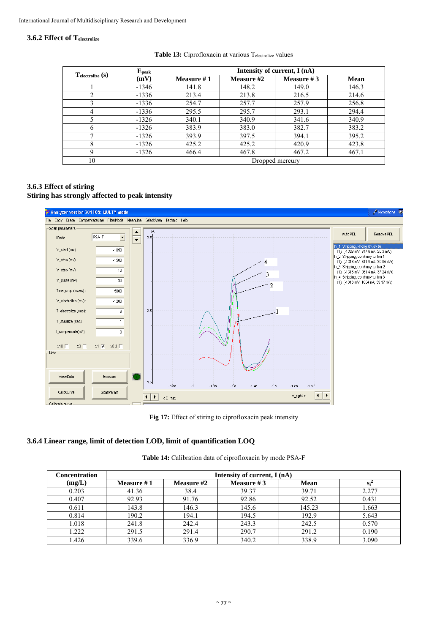### **3.6.2 Effect of Telectrolize**

| $T_{electrolic}(s)$ | ${\bf E}_{\bf peak}$ | Intensity of current, I (nA) |            |              |             |  |
|---------------------|----------------------|------------------------------|------------|--------------|-------------|--|
|                     | (mV)                 | Measure $#1$                 | Measure #2 | Measure $#3$ | <b>Mean</b> |  |
|                     | $-1346$              | 141.8                        | 148.2      | 149.0        | 146.3       |  |
|                     | $-1336$              | 213.4                        | 213.8      | 216.5        | 214.6       |  |
|                     | $-1336$              | 254.7                        | 257.7      | 257.9        | 256.8       |  |
| 4                   | $-1336$              | 295.5                        | 295.7      | 293.1        | 294.4       |  |
|                     | $-1326$              | 340.1                        | 340.9      | 341.6        | 340.9       |  |
| n                   | $-1326$              | 383.9                        | 383.0      | 382.7        | 383.2       |  |
|                     | $-1326$              | 393.9                        | 397.5      | 394.1        | 395.2       |  |
| 8                   | $-1326$              | 425.2                        | 425.2      | 420.9        | 423.8       |  |
| Q                   | $-1326$              | 466.4                        | 467.8      | 467.2        | 467.1       |  |
| 10                  |                      | Dropped mercury              |            |              |             |  |

#### Table 13: Ciprofloxacin at various Telectrolize values

# **3.6.3 Effect of stiring Stiring has strongly affected to peak intensity**



Fig 17: Effect of stiring to ciprofloxacin peak intensity

# **3.6.4 Linear range, limit of detection LOD, limit of quantification LOQ**

| <b>Concentration</b> | Intensity of current, I (nA) |            |              |             |       |  |
|----------------------|------------------------------|------------|--------------|-------------|-------|--|
| (mg/L)               | Measure $#1$                 | Measure #2 | Measure $#3$ | <b>Mean</b> | Si'   |  |
| 0.203                | 41.36                        | 38.4       | 39.37        | 39.71       | 2.277 |  |
| 0.407                | 92.93                        | 91.76      | 92.86        | 92.52       | 0.431 |  |
| 0.611                | 143.8                        | 146.3      | 145.6        | 145.23      | 1.663 |  |
| 0.814                | 190.2                        | 194.1      | 194.5        | 192.9       | 5.643 |  |
| 1.018                | 241.8                        | 242.4      | 243.3        | 242.5       | 0.570 |  |
| 1.222                | 291.5                        | 291.4      | 290.7        | 291.2       | 0.190 |  |
| 1.426                | 339.6                        | 336.9      | 340.2        | 338.9       | 3.090 |  |

**Table 14:** Calibration data of ciprofloxacin by mode PSA-F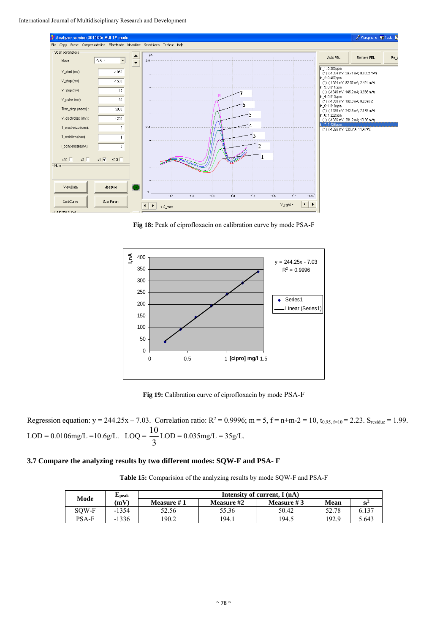

**Fig 18:** Peak of ciprofloxacin on calibration curve by mode PSA-F



**Fig 19:** Calibration curve of ciprofloxacin by mode PSA-F

Regression equation:  $y = 244.25x - 7.03$ . Correlation ratio:  $R^2 = 0.9996$ ;  $m = 5$ ,  $f = n+m-2 = 10$ ,  $t_{0.95, f=10} = 2.23$ . S<sub>residue</sub> = 1.99. LOD =  $0.0106$ mg/L =  $10.6$ g/L. LOQ =  $\frac{1}{3}$  $\frac{10}{2}$  LOD = 0.035 mg/L = 35g/L.

#### **3.7 Compare the analyzing results by two different modes: SQW-F and PSA- F**

**Table 15:** Comparision of the analyzing results by mode SQW-F and PSA-F

| Mode         | ∟peak   | Intensity of current, I (nA) |                   |              |       |        |  |
|--------------|---------|------------------------------|-------------------|--------------|-------|--------|--|
|              | (mV)    | <b>Measure #1</b>            | <b>Measure #2</b> | Measure $#3$ | Mean  | $Si^2$ |  |
| SOW-F        | $-1354$ | 52.56                        | 55.36             | 50.42        | 52.78 | 6.137  |  |
| <b>PSA-F</b> | $-1336$ | 190.2                        | 194.1             | 194.5        | 192.9 | 5.643  |  |